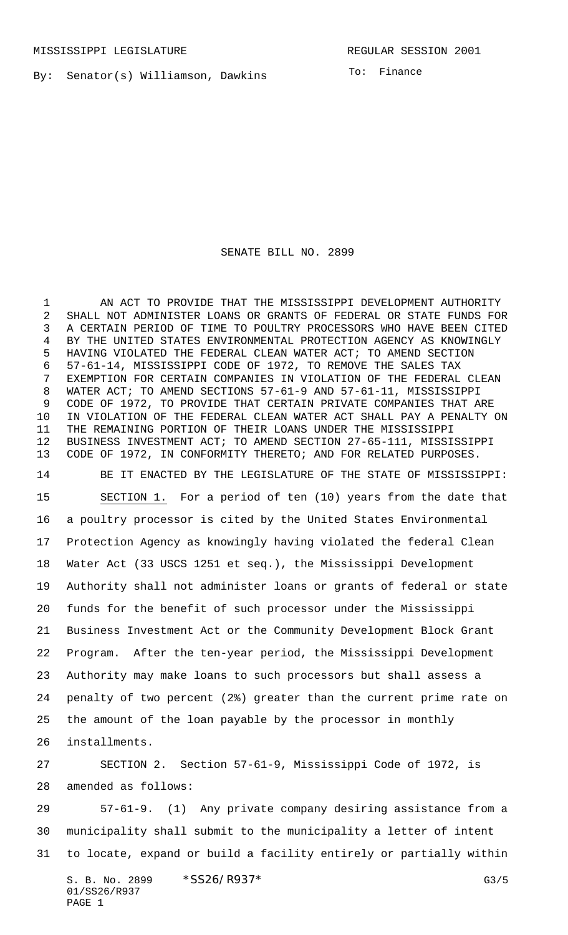By: Senator(s) Williamson, Dawkins

To: Finance

SENATE BILL NO. 2899

1 AN ACT TO PROVIDE THAT THE MISSISSIPPI DEVELOPMENT AUTHORITY SHALL NOT ADMINISTER LOANS OR GRANTS OF FEDERAL OR STATE FUNDS FOR A CERTAIN PERIOD OF TIME TO POULTRY PROCESSORS WHO HAVE BEEN CITED BY THE UNITED STATES ENVIRONMENTAL PROTECTION AGENCY AS KNOWINGLY HAVING VIOLATED THE FEDERAL CLEAN WATER ACT; TO AMEND SECTION 57-61-14, MISSISSIPPI CODE OF 1972, TO REMOVE THE SALES TAX EXEMPTION FOR CERTAIN COMPANIES IN VIOLATION OF THE FEDERAL CLEAN WATER ACT; TO AMEND SECTIONS 57-61-9 AND 57-61-11, MISSISSIPPI CODE OF 1972, TO PROVIDE THAT CERTAIN PRIVATE COMPANIES THAT ARE IN VIOLATION OF THE FEDERAL CLEAN WATER ACT SHALL PAY A PENALTY ON THE REMAINING PORTION OF THEIR LOANS UNDER THE MISSISSIPPI BUSINESS INVESTMENT ACT; TO AMEND SECTION 27-65-111, MISSISSIPPI CODE OF 1972, IN CONFORMITY THERETO; AND FOR RELATED PURPOSES. BE IT ENACTED BY THE LEGISLATURE OF THE STATE OF MISSISSIPPI: SECTION 1. For a period of ten (10) years from the date that a poultry processor is cited by the United States Environmental Protection Agency as knowingly having violated the federal Clean Water Act (33 USCS 1251 et seq.), the Mississippi Development Authority shall not administer loans or grants of federal or state funds for the benefit of such processor under the Mississippi Business Investment Act or the Community Development Block Grant Program. After the ten-year period, the Mississippi Development Authority may make loans to such processors but shall assess a penalty of two percent (2%) greater than the current prime rate on the amount of the loan payable by the processor in monthly installments.

 SECTION 2. Section 57-61-9, Mississippi Code of 1972, is amended as follows:

 57-61-9. (1) Any private company desiring assistance from a municipality shall submit to the municipality a letter of intent to locate, expand or build a facility entirely or partially within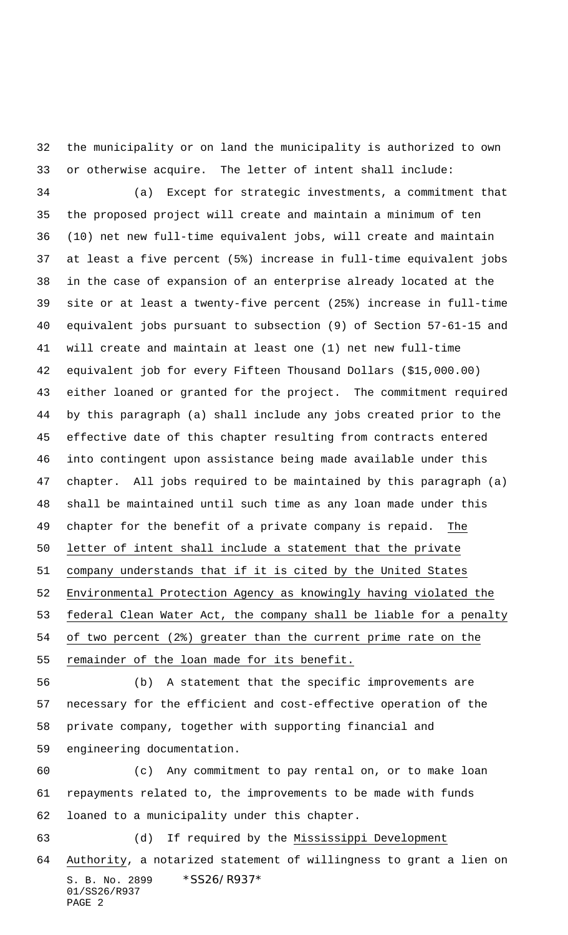the municipality or on land the municipality is authorized to own or otherwise acquire. The letter of intent shall include: (a) Except for strategic investments, a commitment that

 the proposed project will create and maintain a minimum of ten (10) net new full-time equivalent jobs, will create and maintain at least a five percent (5%) increase in full-time equivalent jobs in the case of expansion of an enterprise already located at the site or at least a twenty-five percent (25%) increase in full-time equivalent jobs pursuant to subsection (9) of Section 57-61-15 and will create and maintain at least one (1) net new full-time equivalent job for every Fifteen Thousand Dollars (\$15,000.00) either loaned or granted for the project. The commitment required by this paragraph (a) shall include any jobs created prior to the effective date of this chapter resulting from contracts entered into contingent upon assistance being made available under this chapter. All jobs required to be maintained by this paragraph (a) shall be maintained until such time as any loan made under this chapter for the benefit of a private company is repaid. The letter of intent shall include a statement that the private company understands that if it is cited by the United States Environmental Protection Agency as knowingly having violated the federal Clean Water Act, the company shall be liable for a penalty of two percent (2%) greater than the current prime rate on the remainder of the loan made for its benefit.

 (b) A statement that the specific improvements are necessary for the efficient and cost-effective operation of the private company, together with supporting financial and engineering documentation.

 (c) Any commitment to pay rental on, or to make loan repayments related to, the improvements to be made with funds loaned to a municipality under this chapter. (d) If required by the Mississippi Development Authority, a notarized statement of willingness to grant a lien on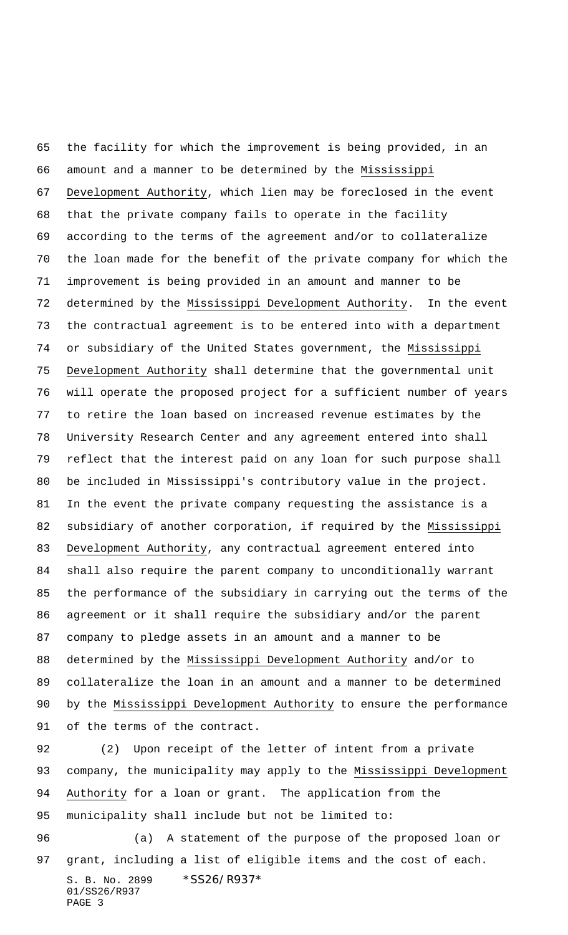the facility for which the improvement is being provided, in an amount and a manner to be determined by the Mississippi Development Authority, which lien may be foreclosed in the event that the private company fails to operate in the facility according to the terms of the agreement and/or to collateralize the loan made for the benefit of the private company for which the improvement is being provided in an amount and manner to be determined by the Mississippi Development Authority. In the event the contractual agreement is to be entered into with a department or subsidiary of the United States government, the Mississippi Development Authority shall determine that the governmental unit will operate the proposed project for a sufficient number of years to retire the loan based on increased revenue estimates by the University Research Center and any agreement entered into shall reflect that the interest paid on any loan for such purpose shall be included in Mississippi's contributory value in the project. In the event the private company requesting the assistance is a subsidiary of another corporation, if required by the Mississippi Development Authority, any contractual agreement entered into shall also require the parent company to unconditionally warrant the performance of the subsidiary in carrying out the terms of the agreement or it shall require the subsidiary and/or the parent company to pledge assets in an amount and a manner to be determined by the Mississippi Development Authority and/or to collateralize the loan in an amount and a manner to be determined by the Mississippi Development Authority to ensure the performance of the terms of the contract.

 (2) Upon receipt of the letter of intent from a private company, the municipality may apply to the Mississippi Development Authority for a loan or grant. The application from the municipality shall include but not be limited to:

S. B. No. 2899 \* SS26/R937\* 01/SS26/R937 PAGE 3 (a) A statement of the purpose of the proposed loan or grant, including a list of eligible items and the cost of each.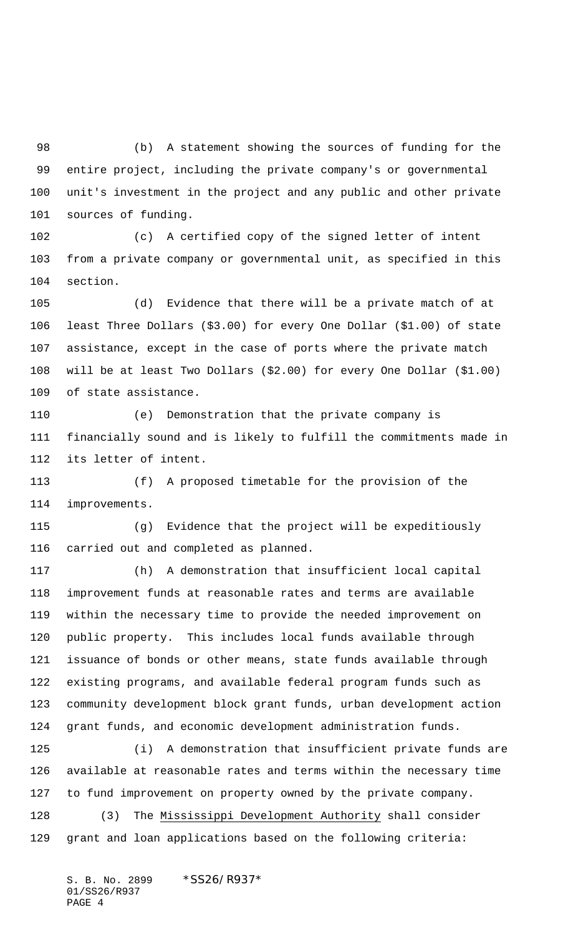(b) A statement showing the sources of funding for the entire project, including the private company's or governmental unit's investment in the project and any public and other private sources of funding.

 (c) A certified copy of the signed letter of intent from a private company or governmental unit, as specified in this section.

 (d) Evidence that there will be a private match of at least Three Dollars (\$3.00) for every One Dollar (\$1.00) of state assistance, except in the case of ports where the private match will be at least Two Dollars (\$2.00) for every One Dollar (\$1.00) of state assistance.

 (e) Demonstration that the private company is financially sound and is likely to fulfill the commitments made in its letter of intent.

 (f) A proposed timetable for the provision of the improvements.

 (g) Evidence that the project will be expeditiously carried out and completed as planned.

 (h) A demonstration that insufficient local capital improvement funds at reasonable rates and terms are available within the necessary time to provide the needed improvement on public property. This includes local funds available through issuance of bonds or other means, state funds available through existing programs, and available federal program funds such as community development block grant funds, urban development action grant funds, and economic development administration funds.

 (i) A demonstration that insufficient private funds are available at reasonable rates and terms within the necessary time to fund improvement on property owned by the private company. (3) The Mississippi Development Authority shall consider

grant and loan applications based on the following criteria: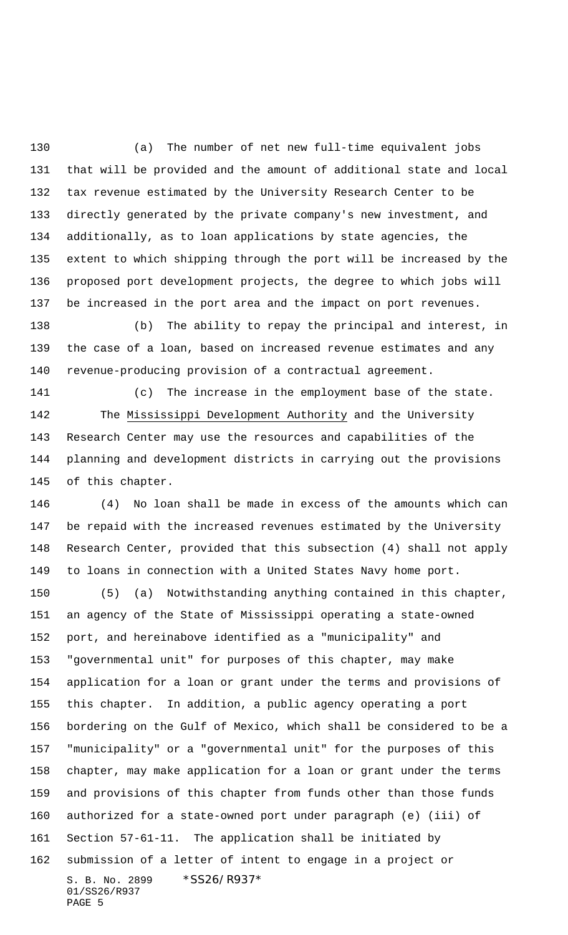(a) The number of net new full-time equivalent jobs that will be provided and the amount of additional state and local tax revenue estimated by the University Research Center to be directly generated by the private company's new investment, and additionally, as to loan applications by state agencies, the extent to which shipping through the port will be increased by the proposed port development projects, the degree to which jobs will be increased in the port area and the impact on port revenues.

 (b) The ability to repay the principal and interest, in the case of a loan, based on increased revenue estimates and any revenue-producing provision of a contractual agreement.

 (c) The increase in the employment base of the state. The Mississippi Development Authority and the University Research Center may use the resources and capabilities of the planning and development districts in carrying out the provisions of this chapter.

 (4) No loan shall be made in excess of the amounts which can be repaid with the increased revenues estimated by the University Research Center, provided that this subsection (4) shall not apply to loans in connection with a United States Navy home port.

S. B. No. 2899 \* SS26/R937\* 01/SS26/R937 PAGE 5 (5) (a) Notwithstanding anything contained in this chapter, an agency of the State of Mississippi operating a state-owned port, and hereinabove identified as a "municipality" and "governmental unit" for purposes of this chapter, may make application for a loan or grant under the terms and provisions of this chapter. In addition, a public agency operating a port bordering on the Gulf of Mexico, which shall be considered to be a "municipality" or a "governmental unit" for the purposes of this chapter, may make application for a loan or grant under the terms and provisions of this chapter from funds other than those funds authorized for a state-owned port under paragraph (e) (iii) of Section 57-61-11. The application shall be initiated by submission of a letter of intent to engage in a project or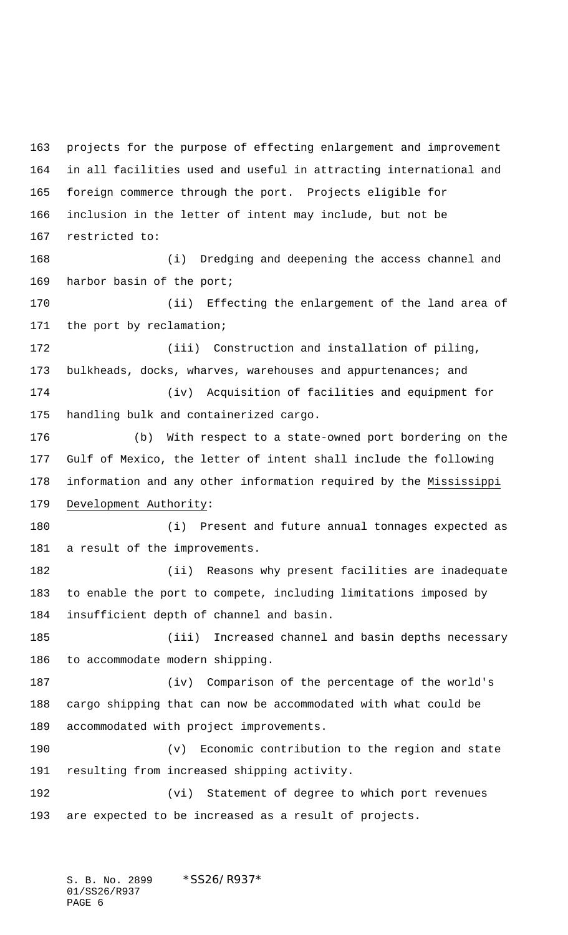projects for the purpose of effecting enlargement and improvement in all facilities used and useful in attracting international and foreign commerce through the port. Projects eligible for inclusion in the letter of intent may include, but not be restricted to: (i) Dredging and deepening the access channel and harbor basin of the port; (ii) Effecting the enlargement of the land area of the port by reclamation; (iii) Construction and installation of piling, 173 bulkheads, docks, wharves, warehouses and appurtenances; and (iv) Acquisition of facilities and equipment for handling bulk and containerized cargo. (b) With respect to a state-owned port bordering on the Gulf of Mexico, the letter of intent shall include the following information and any other information required by the Mississippi Development Authority: (i) Present and future annual tonnages expected as a result of the improvements. (ii) Reasons why present facilities are inadequate to enable the port to compete, including limitations imposed by insufficient depth of channel and basin. (iii) Increased channel and basin depths necessary to accommodate modern shipping. (iv) Comparison of the percentage of the world's cargo shipping that can now be accommodated with what could be accommodated with project improvements. (v) Economic contribution to the region and state resulting from increased shipping activity. (vi) Statement of degree to which port revenues are expected to be increased as a result of projects.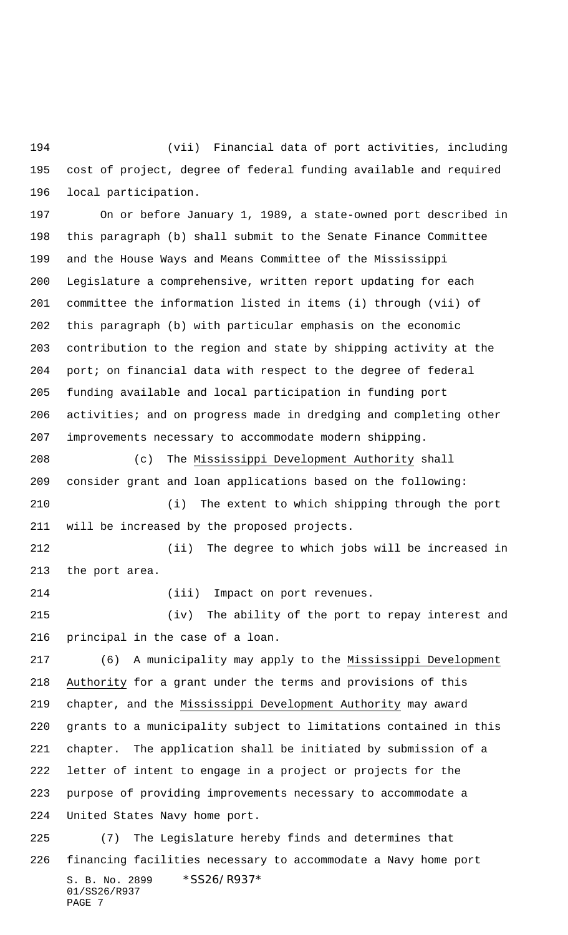(vii) Financial data of port activities, including cost of project, degree of federal funding available and required local participation.

 On or before January 1, 1989, a state-owned port described in this paragraph (b) shall submit to the Senate Finance Committee and the House Ways and Means Committee of the Mississippi Legislature a comprehensive, written report updating for each committee the information listed in items (i) through (vii) of this paragraph (b) with particular emphasis on the economic contribution to the region and state by shipping activity at the port; on financial data with respect to the degree of federal funding available and local participation in funding port 206 activities; and on progress made in dredging and completing other improvements necessary to accommodate modern shipping.

 (c) The Mississippi Development Authority shall consider grant and loan applications based on the following: (i) The extent to which shipping through the port will be increased by the proposed projects.

 (ii) The degree to which jobs will be increased in the port area.

(iii) Impact on port revenues.

 (iv) The ability of the port to repay interest and principal in the case of a loan.

 (6) A municipality may apply to the Mississippi Development Authority for a grant under the terms and provisions of this chapter, and the Mississippi Development Authority may award grants to a municipality subject to limitations contained in this chapter. The application shall be initiated by submission of a letter of intent to engage in a project or projects for the purpose of providing improvements necessary to accommodate a United States Navy home port. (7) The Legislature hereby finds and determines that

S. B. No. 2899 \* SS26/R937\* 01/SS26/R937 PAGE 7 financing facilities necessary to accommodate a Navy home port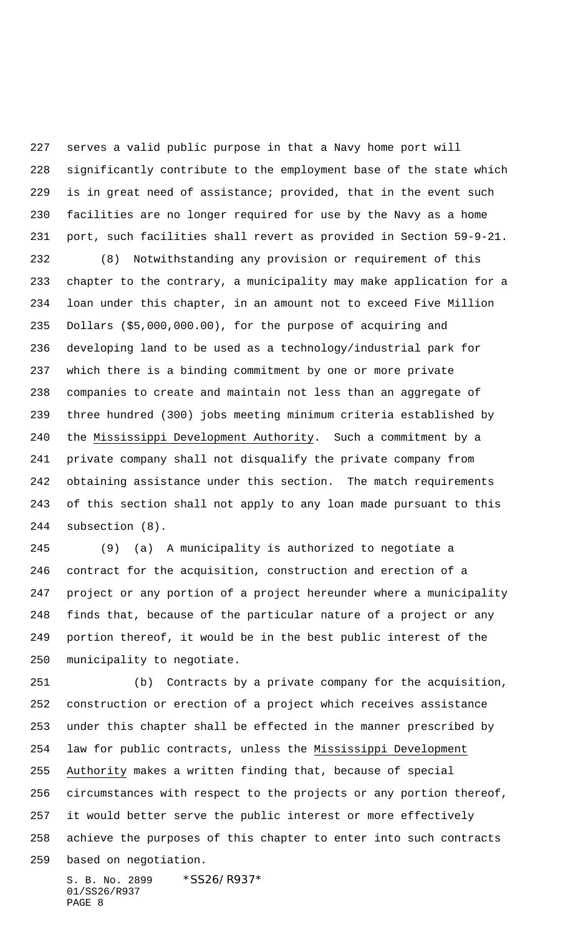serves a valid public purpose in that a Navy home port will significantly contribute to the employment base of the state which is in great need of assistance; provided, that in the event such facilities are no longer required for use by the Navy as a home port, such facilities shall revert as provided in Section 59-9-21.

 (8) Notwithstanding any provision or requirement of this chapter to the contrary, a municipality may make application for a loan under this chapter, in an amount not to exceed Five Million Dollars (\$5,000,000.00), for the purpose of acquiring and developing land to be used as a technology/industrial park for which there is a binding commitment by one or more private companies to create and maintain not less than an aggregate of three hundred (300) jobs meeting minimum criteria established by the Mississippi Development Authority. Such a commitment by a private company shall not disqualify the private company from obtaining assistance under this section. The match requirements of this section shall not apply to any loan made pursuant to this subsection (8).

 (9) (a) A municipality is authorized to negotiate a contract for the acquisition, construction and erection of a project or any portion of a project hereunder where a municipality finds that, because of the particular nature of a project or any portion thereof, it would be in the best public interest of the municipality to negotiate.

 (b) Contracts by a private company for the acquisition, construction or erection of a project which receives assistance under this chapter shall be effected in the manner prescribed by law for public contracts, unless the Mississippi Development Authority makes a written finding that, because of special circumstances with respect to the projects or any portion thereof, it would better serve the public interest or more effectively achieve the purposes of this chapter to enter into such contracts based on negotiation.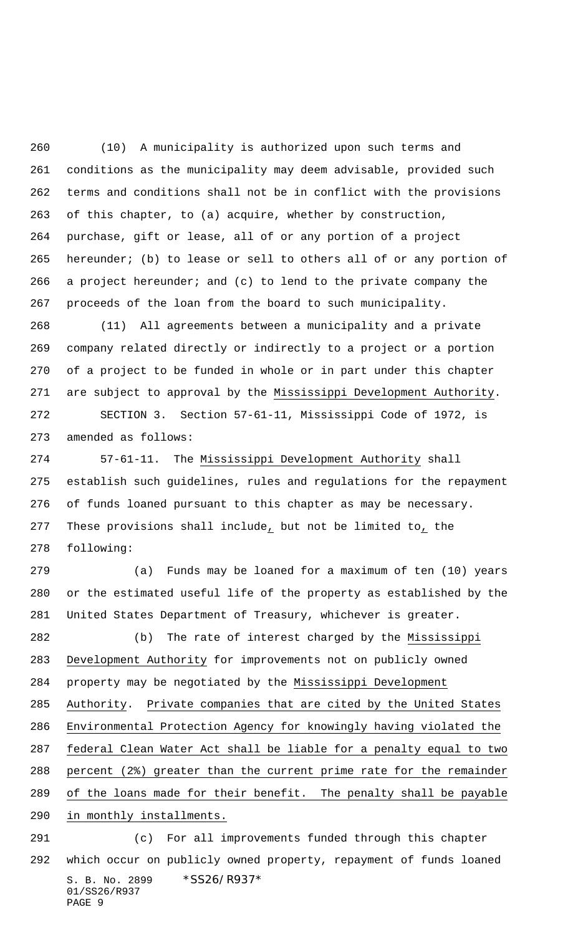(10) A municipality is authorized upon such terms and conditions as the municipality may deem advisable, provided such terms and conditions shall not be in conflict with the provisions of this chapter, to (a) acquire, whether by construction, purchase, gift or lease, all of or any portion of a project hereunder; (b) to lease or sell to others all of or any portion of a project hereunder; and (c) to lend to the private company the proceeds of the loan from the board to such municipality.

 (11) All agreements between a municipality and a private company related directly or indirectly to a project or a portion of a project to be funded in whole or in part under this chapter are subject to approval by the Mississippi Development Authority.

 SECTION 3. Section 57-61-11, Mississippi Code of 1972, is amended as follows:

 57-61-11. The Mississippi Development Authority shall establish such guidelines, rules and regulations for the repayment of funds loaned pursuant to this chapter as may be necessary. These provisions shall include, but not be limited to, the following:

 (a) Funds may be loaned for a maximum of ten (10) years or the estimated useful life of the property as established by the United States Department of Treasury, whichever is greater.

 (b) The rate of interest charged by the Mississippi Development Authority for improvements not on publicly owned property may be negotiated by the Mississippi Development Authority. Private companies that are cited by the United States Environmental Protection Agency for knowingly having violated the federal Clean Water Act shall be liable for a penalty equal to two percent (2%) greater than the current prime rate for the remainder of the loans made for their benefit. The penalty shall be payable in monthly installments.

S. B. No. 2899 \* SS26/R937\* 01/SS26/R937 PAGE 9 (c) For all improvements funded through this chapter which occur on publicly owned property, repayment of funds loaned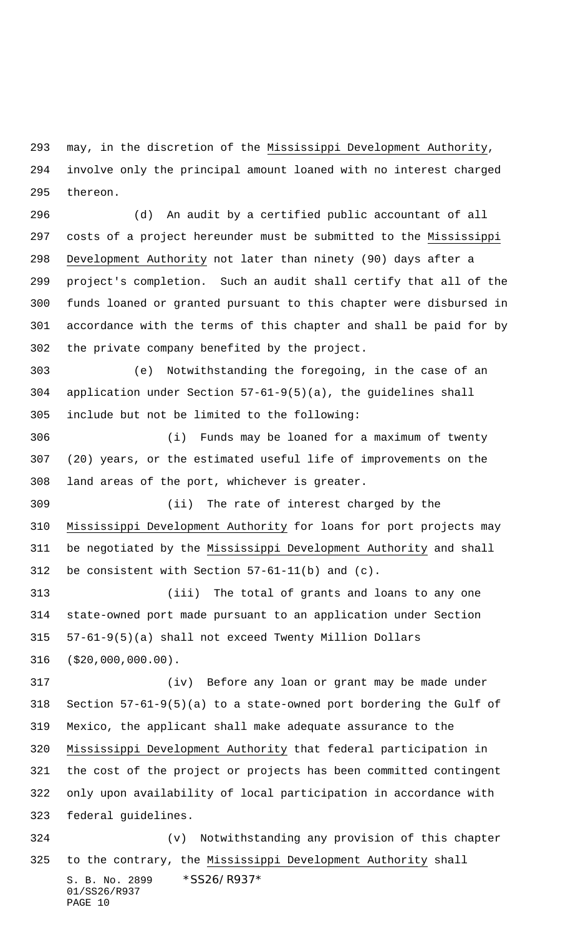may, in the discretion of the Mississippi Development Authority, involve only the principal amount loaned with no interest charged thereon.

 (d) An audit by a certified public accountant of all costs of a project hereunder must be submitted to the Mississippi Development Authority not later than ninety (90) days after a project's completion. Such an audit shall certify that all of the funds loaned or granted pursuant to this chapter were disbursed in accordance with the terms of this chapter and shall be paid for by the private company benefited by the project.

 (e) Notwithstanding the foregoing, in the case of an application under Section 57-61-9(5)(a), the guidelines shall include but not be limited to the following:

 (i) Funds may be loaned for a maximum of twenty (20) years, or the estimated useful life of improvements on the land areas of the port, whichever is greater.

 (ii) The rate of interest charged by the Mississippi Development Authority for loans for port projects may be negotiated by the Mississippi Development Authority and shall be consistent with Section 57-61-11(b) and (c).

 (iii) The total of grants and loans to any one state-owned port made pursuant to an application under Section 57-61-9(5)(a) shall not exceed Twenty Million Dollars (\$20,000,000.00).

 (iv) Before any loan or grant may be made under Section 57-61-9(5)(a) to a state-owned port bordering the Gulf of Mexico, the applicant shall make adequate assurance to the Mississippi Development Authority that federal participation in the cost of the project or projects has been committed contingent only upon availability of local participation in accordance with federal guidelines. (v) Notwithstanding any provision of this chapter

S. B. No. 2899 \* SS26/R937\* 01/SS26/R937 PAGE 10 325 to the contrary, the Mississippi Development Authority shall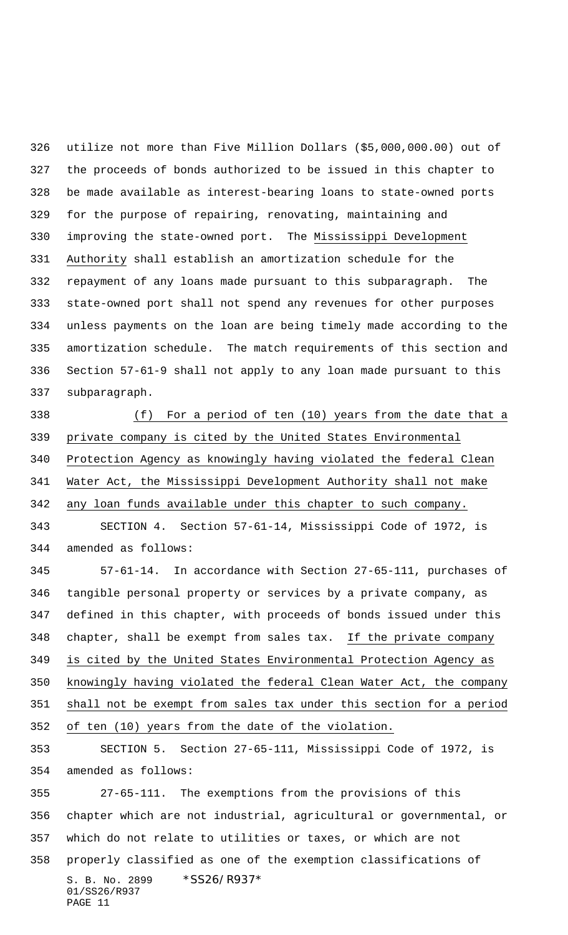utilize not more than Five Million Dollars (\$5,000,000.00) out of the proceeds of bonds authorized to be issued in this chapter to be made available as interest-bearing loans to state-owned ports for the purpose of repairing, renovating, maintaining and improving the state-owned port. The Mississippi Development Authority shall establish an amortization schedule for the repayment of any loans made pursuant to this subparagraph. The state-owned port shall not spend any revenues for other purposes unless payments on the loan are being timely made according to the amortization schedule. The match requirements of this section and Section 57-61-9 shall not apply to any loan made pursuant to this subparagraph.

 (f) For a period of ten (10) years from the date that a private company is cited by the United States Environmental Protection Agency as knowingly having violated the federal Clean Water Act, the Mississippi Development Authority shall not make any loan funds available under this chapter to such company.

 SECTION 4. Section 57-61-14, Mississippi Code of 1972, is amended as follows:

 57-61-14. In accordance with Section 27-65-111, purchases of tangible personal property or services by a private company, as defined in this chapter, with proceeds of bonds issued under this chapter, shall be exempt from sales tax. If the private company is cited by the United States Environmental Protection Agency as knowingly having violated the federal Clean Water Act, the company shall not be exempt from sales tax under this section for a period of ten (10) years from the date of the violation.

 SECTION 5. Section 27-65-111, Mississippi Code of 1972, is amended as follows:

S. B. No. 2899 \* SS26/R937\* 01/SS26/R937 PAGE 11 27-65-111. The exemptions from the provisions of this chapter which are not industrial, agricultural or governmental, or which do not relate to utilities or taxes, or which are not properly classified as one of the exemption classifications of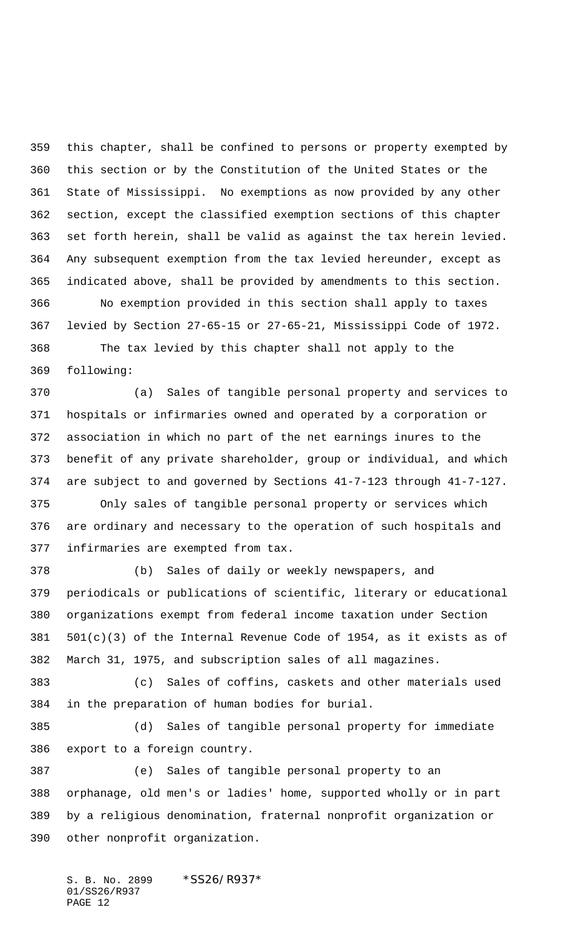this chapter, shall be confined to persons or property exempted by this section or by the Constitution of the United States or the State of Mississippi. No exemptions as now provided by any other section, except the classified exemption sections of this chapter set forth herein, shall be valid as against the tax herein levied. Any subsequent exemption from the tax levied hereunder, except as indicated above, shall be provided by amendments to this section. No exemption provided in this section shall apply to taxes levied by Section 27-65-15 or 27-65-21, Mississippi Code of 1972. The tax levied by this chapter shall not apply to the

following:

 (a) Sales of tangible personal property and services to hospitals or infirmaries owned and operated by a corporation or association in which no part of the net earnings inures to the benefit of any private shareholder, group or individual, and which are subject to and governed by Sections 41-7-123 through 41-7-127. Only sales of tangible personal property or services which are ordinary and necessary to the operation of such hospitals and

 infirmaries are exempted from tax. (b) Sales of daily or weekly newspapers, and periodicals or publications of scientific, literary or educational organizations exempt from federal income taxation under Section

 501(c)(3) of the Internal Revenue Code of 1954, as it exists as of March 31, 1975, and subscription sales of all magazines.

 (c) Sales of coffins, caskets and other materials used in the preparation of human bodies for burial.

 (d) Sales of tangible personal property for immediate export to a foreign country.

 (e) Sales of tangible personal property to an orphanage, old men's or ladies' home, supported wholly or in part by a religious denomination, fraternal nonprofit organization or other nonprofit organization.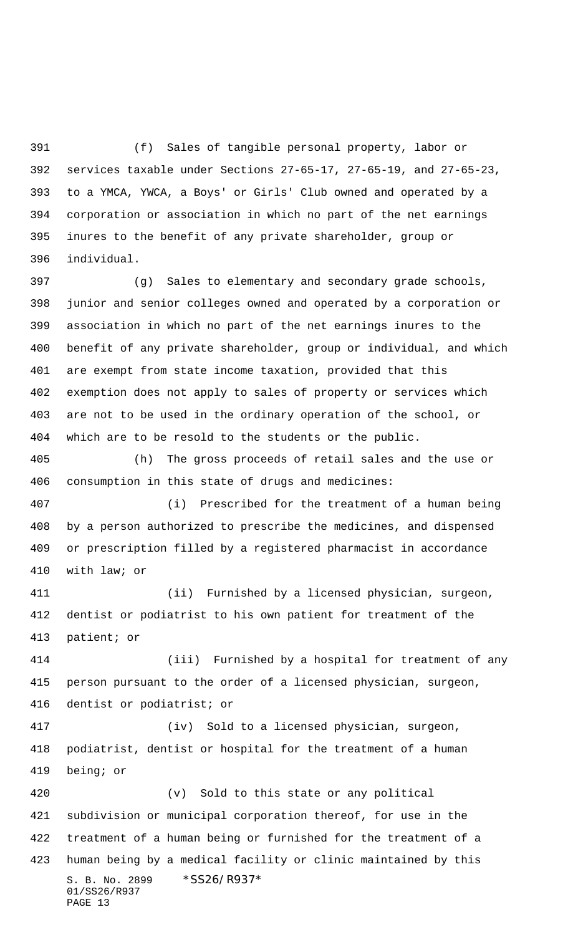(f) Sales of tangible personal property, labor or services taxable under Sections 27-65-17, 27-65-19, and 27-65-23, to a YMCA, YWCA, a Boys' or Girls' Club owned and operated by a corporation or association in which no part of the net earnings inures to the benefit of any private shareholder, group or individual.

 (g) Sales to elementary and secondary grade schools, junior and senior colleges owned and operated by a corporation or association in which no part of the net earnings inures to the benefit of any private shareholder, group or individual, and which are exempt from state income taxation, provided that this exemption does not apply to sales of property or services which are not to be used in the ordinary operation of the school, or which are to be resold to the students or the public.

 (h) The gross proceeds of retail sales and the use or consumption in this state of drugs and medicines:

 (i) Prescribed for the treatment of a human being by a person authorized to prescribe the medicines, and dispensed or prescription filled by a registered pharmacist in accordance with law; or

 (ii) Furnished by a licensed physician, surgeon, dentist or podiatrist to his own patient for treatment of the patient; or

 (iii) Furnished by a hospital for treatment of any person pursuant to the order of a licensed physician, surgeon, dentist or podiatrist; or

 (iv) Sold to a licensed physician, surgeon, podiatrist, dentist or hospital for the treatment of a human being; or

S. B. No. 2899 \* SS26/R937\* 01/SS26/R937 PAGE 13 (v) Sold to this state or any political subdivision or municipal corporation thereof, for use in the treatment of a human being or furnished for the treatment of a human being by a medical facility or clinic maintained by this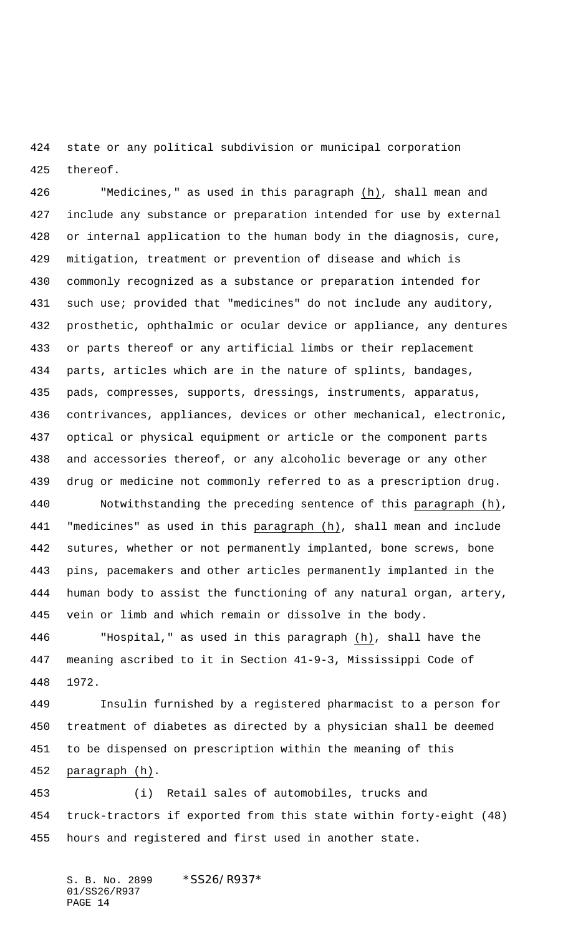state or any political subdivision or municipal corporation thereof.

 "Medicines," as used in this paragraph (h), shall mean and include any substance or preparation intended for use by external or internal application to the human body in the diagnosis, cure, mitigation, treatment or prevention of disease and which is commonly recognized as a substance or preparation intended for such use; provided that "medicines" do not include any auditory, prosthetic, ophthalmic or ocular device or appliance, any dentures or parts thereof or any artificial limbs or their replacement parts, articles which are in the nature of splints, bandages, pads, compresses, supports, dressings, instruments, apparatus, contrivances, appliances, devices or other mechanical, electronic, optical or physical equipment or article or the component parts and accessories thereof, or any alcoholic beverage or any other drug or medicine not commonly referred to as a prescription drug. Notwithstanding the preceding sentence of this paragraph (h),

441 "medicines" as used in this paragraph (h), shall mean and include sutures, whether or not permanently implanted, bone screws, bone pins, pacemakers and other articles permanently implanted in the human body to assist the functioning of any natural organ, artery, vein or limb and which remain or dissolve in the body.

 "Hospital," as used in this paragraph (h), shall have the meaning ascribed to it in Section 41-9-3, Mississippi Code of 1972.

 Insulin furnished by a registered pharmacist to a person for treatment of diabetes as directed by a physician shall be deemed to be dispensed on prescription within the meaning of this paragraph (h).

 (i) Retail sales of automobiles, trucks and truck-tractors if exported from this state within forty-eight (48) hours and registered and first used in another state.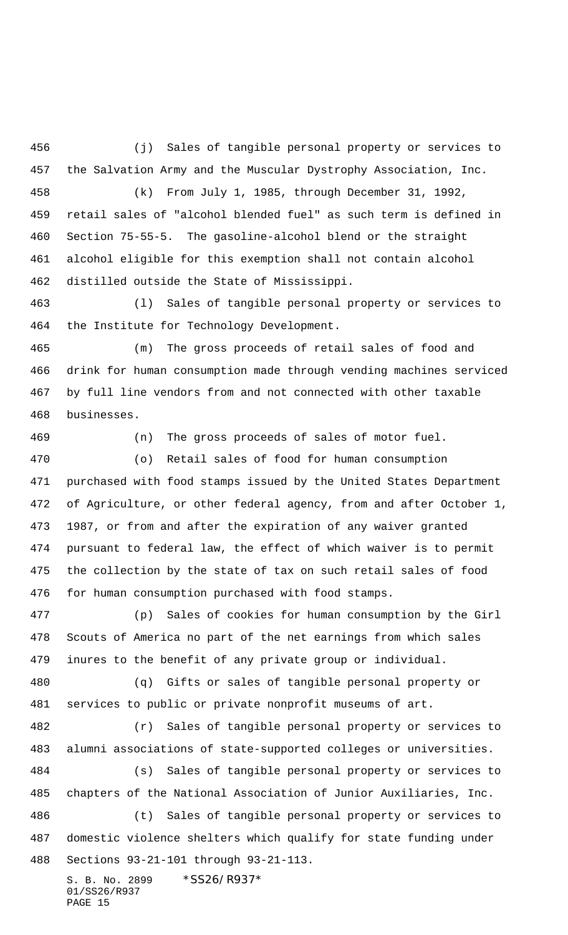(j) Sales of tangible personal property or services to the Salvation Army and the Muscular Dystrophy Association, Inc.

 (k) From July 1, 1985, through December 31, 1992, retail sales of "alcohol blended fuel" as such term is defined in Section 75-55-5. The gasoline-alcohol blend or the straight alcohol eligible for this exemption shall not contain alcohol distilled outside the State of Mississippi.

 (l) Sales of tangible personal property or services to the Institute for Technology Development.

 (m) The gross proceeds of retail sales of food and drink for human consumption made through vending machines serviced by full line vendors from and not connected with other taxable businesses.

(n) The gross proceeds of sales of motor fuel.

 (o) Retail sales of food for human consumption purchased with food stamps issued by the United States Department of Agriculture, or other federal agency, from and after October 1, 1987, or from and after the expiration of any waiver granted pursuant to federal law, the effect of which waiver is to permit the collection by the state of tax on such retail sales of food for human consumption purchased with food stamps.

 (p) Sales of cookies for human consumption by the Girl Scouts of America no part of the net earnings from which sales inures to the benefit of any private group or individual.

 (q) Gifts or sales of tangible personal property or services to public or private nonprofit museums of art.

 (r) Sales of tangible personal property or services to alumni associations of state-supported colleges or universities.

 (s) Sales of tangible personal property or services to chapters of the National Association of Junior Auxiliaries, Inc. (t) Sales of tangible personal property or services to

 domestic violence shelters which qualify for state funding under Sections 93-21-101 through 93-21-113.